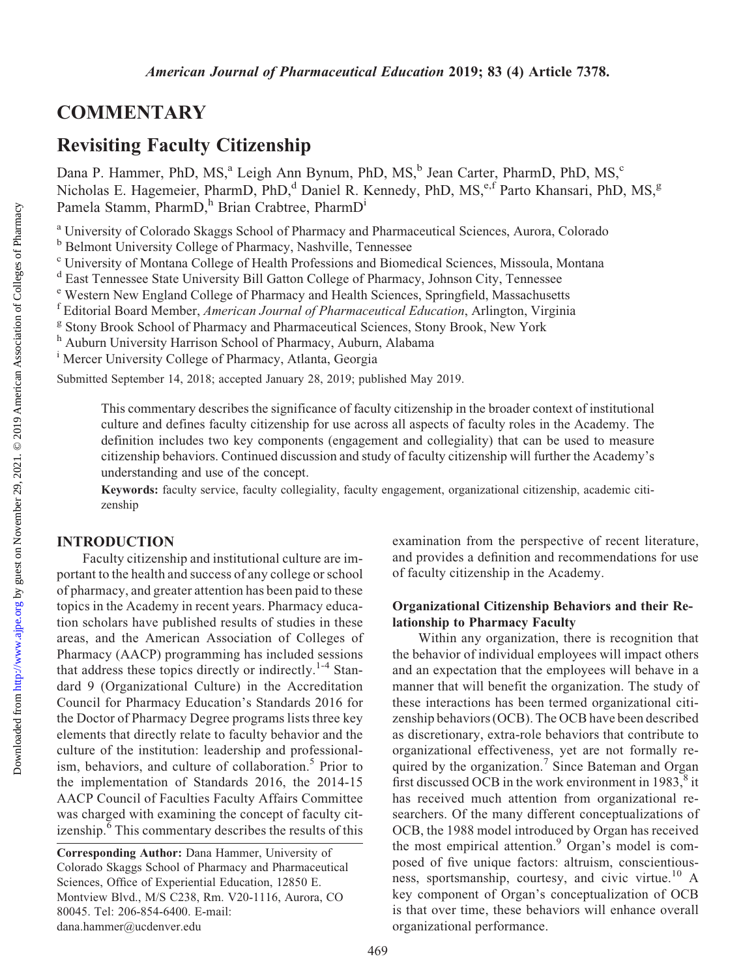# **COMMENTARY**

# Revisiting Faculty Citizenship

Dana P. Hammer, PhD, MS,<sup>a</sup> Leigh Ann Bynum, PhD, MS,<sup>b</sup> Jean Carter, PharmD, PhD, MS,<sup>c</sup> Nicholas E. Hagemeier, PharmD, PhD,<sup>d</sup> Daniel R. Kennedy, PhD, MS,<sup>e,f</sup> Parto Khansari, PhD, MS,<sup>g</sup> Pamela Stamm, PharmD,<sup>h</sup> Brian Crabtree, PharmD<sup>i</sup>

<sup>a</sup> University of Colorado Skaggs School of Pharmacy and Pharmaceutical Sciences, Aurora, Colorado

<sup>b</sup> Belmont University College of Pharmacy, Nashville, Tennessee

<sup>c</sup> University of Montana College of Health Professions and Biomedical Sciences, Missoula, Montana

<sup>d</sup> East Tennessee State University Bill Gatton College of Pharmacy, Johnson City, Tennessee

<sup>e</sup> Western New England College of Pharmacy and Health Sciences, Springfield, Massachusetts

<sup>f</sup> Editorial Board Member, American Journal of Pharmaceutical Education, Arlington, Virginia

<sup>g</sup> Stony Brook School of Pharmacy and Pharmaceutical Sciences, Stony Brook, New York

<sup>h</sup> Auburn University Harrison School of Pharmacy, Auburn, Alabama

<sup>i</sup> Mercer University College of Pharmacy, Atlanta, Georgia

Submitted September 14, 2018; accepted January 28, 2019; published May 2019.

This commentary describes the significance of faculty citizenship in the broader context of institutional culture and defines faculty citizenship for use across all aspects of faculty roles in the Academy. The definition includes two key components (engagement and collegiality) that can be used to measure citizenship behaviors. Continued discussion and study of faculty citizenship will further the Academy's understanding and use of the concept.

Keywords: faculty service, faculty collegiality, faculty engagement, organizational citizenship, academic citizenship

## INTRODUCTION

Faculty citizenship and institutional culture are important to the health and success of any college or school of pharmacy, and greater attention has been paid to these topics in the Academy in recent years. Pharmacy education scholars have published results of studies in these areas, and the American Association of Colleges of Pharmacy (AACP) programming has included sessions that address these topics directly or indirectly.<sup>1-4</sup> Standard 9 (Organizational Culture) in the Accreditation Council for Pharmacy Education's Standards 2016 for the Doctor of Pharmacy Degree programs lists three key elements that directly relate to faculty behavior and the culture of the institution: leadership and professionalism, behaviors, and culture of collaboration.<sup>5</sup> Prior to the implementation of Standards 2016, the 2014-15 AACP Council of Faculties Faculty Affairs Committee was charged with examining the concept of faculty citizenship. $\frac{6}{6}$  This commentary describes the results of this

examination from the perspective of recent literature, and provides a definition and recommendations for use of faculty citizenship in the Academy.

#### Organizational Citizenship Behaviors and their Relationship to Pharmacy Faculty

Within any organization, there is recognition that the behavior of individual employees will impact others and an expectation that the employees will behave in a manner that will benefit the organization. The study of these interactions has been termed organizational citizenship behaviors (OCB). The OCB have been described as discretionary, extra-role behaviors that contribute to organizational effectiveness, yet are not formally required by the organization.<sup>7</sup> Since Bateman and Organ first discussed OCB in the work environment in  $1983$ ,<sup>8</sup> it has received much attention from organizational researchers. Of the many different conceptualizations of OCB, the 1988 model introduced by Organ has received the most empirical attention.<sup>9</sup> Organ's model is composed of five unique factors: altruism, conscientiousness, sportsmanship, courtesy, and civic virtue.<sup>10</sup> A key component of Organ's conceptualization of OCB is that over time, these behaviors will enhance overall organizational performance.

Corresponding Author: Dana Hammer, University of Colorado Skaggs School of Pharmacy and Pharmaceutical Sciences, Office of Experiential Education, 12850 E. Montview Blvd., M/S C238, Rm. V20-1116, Aurora, CO 80045. Tel: 206-854-6400. E-mail: [dana.hammer@ucdenver.edu](mailto:dana.hammer@ucdenver.edu)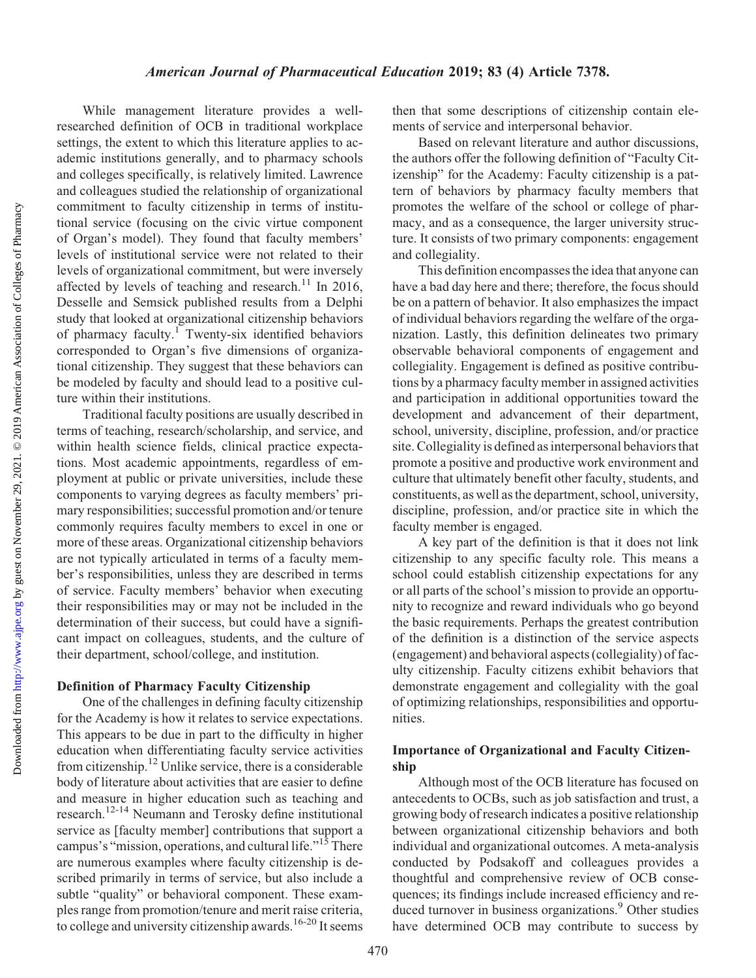While management literature provides a wellresearched definition of OCB in traditional workplace settings, the extent to which this literature applies to academic institutions generally, and to pharmacy schools and colleges specifically, is relatively limited. Lawrence and colleagues studied the relationship of organizational commitment to faculty citizenship in terms of institutional service (focusing on the civic virtue component of Organ's model). They found that faculty members' levels of institutional service were not related to their levels of organizational commitment, but were inversely affected by levels of teaching and research.<sup>11</sup> In 2016, Desselle and Semsick published results from a Delphi study that looked at organizational citizenship behaviors of pharmacy faculty.<sup>1</sup> Twenty-six identified behaviors corresponded to Organ's five dimensions of organizational citizenship. They suggest that these behaviors can be modeled by faculty and should lead to a positive culture within their institutions.

Traditional faculty positions are usually described in terms of teaching, research/scholarship, and service, and within health science fields, clinical practice expectations. Most academic appointments, regardless of employment at public or private universities, include these components to varying degrees as faculty members' primary responsibilities; successful promotion and/or tenure commonly requires faculty members to excel in one or more of these areas. Organizational citizenship behaviors are not typically articulated in terms of a faculty member's responsibilities, unless they are described in terms of service. Faculty members' behavior when executing their responsibilities may or may not be included in the determination of their success, but could have a significant impact on colleagues, students, and the culture of their department, school/college, and institution.

#### Definition of Pharmacy Faculty Citizenship

One of the challenges in defining faculty citizenship for the Academy is how it relates to service expectations. This appears to be due in part to the difficulty in higher education when differentiating faculty service activities from citizenship.12 Unlike service, there is a considerable body of literature about activities that are easier to define and measure in higher education such as teaching and research.12-14 Neumann and Terosky define institutional service as [faculty member] contributions that support a campus's "mission, operations, and cultural life."15 There are numerous examples where faculty citizenship is described primarily in terms of service, but also include a subtle "quality" or behavioral component. These examples range from promotion/tenure and merit raise criteria, to college and university citizenship awards.<sup>16-20</sup> It seems then that some descriptions of citizenship contain elements of service and interpersonal behavior.

Based on relevant literature and author discussions, the authors offer the following definition of "Faculty Citizenship" for the Academy: Faculty citizenship is a pattern of behaviors by pharmacy faculty members that promotes the welfare of the school or college of pharmacy, and as a consequence, the larger university structure. It consists of two primary components: engagement and collegiality.

This definition encompasses the idea that anyone can have a bad day here and there; therefore, the focus should be on a pattern of behavior. It also emphasizes the impact of individual behaviors regarding the welfare of the organization. Lastly, this definition delineates two primary observable behavioral components of engagement and collegiality. Engagement is defined as positive contributions by a pharmacy faculty member in assigned activities and participation in additional opportunities toward the development and advancement of their department, school, university, discipline, profession, and/or practice site. Collegiality is defined as interpersonal behaviors that promote a positive and productive work environment and culture that ultimately benefit other faculty, students, and constituents, as well as the department, school, university, discipline, profession, and/or practice site in which the faculty member is engaged.

A key part of the definition is that it does not link citizenship to any specific faculty role. This means a school could establish citizenship expectations for any or all parts of the school's mission to provide an opportunity to recognize and reward individuals who go beyond the basic requirements. Perhaps the greatest contribution of the definition is a distinction of the service aspects (engagement) and behavioral aspects (collegiality) of faculty citizenship. Faculty citizens exhibit behaviors that demonstrate engagement and collegiality with the goal of optimizing relationships, responsibilities and opportunities.

## Importance of Organizational and Faculty Citizenship

Although most of the OCB literature has focused on antecedents to OCBs, such as job satisfaction and trust, a growing body of research indicates a positive relationship between organizational citizenship behaviors and both individual and organizational outcomes. A meta-analysis conducted by Podsakoff and colleagues provides a thoughtful and comprehensive review of OCB consequences; its findings include increased efficiency and reduced turnover in business organizations.<sup>9</sup> Other studies have determined OCB may contribute to success by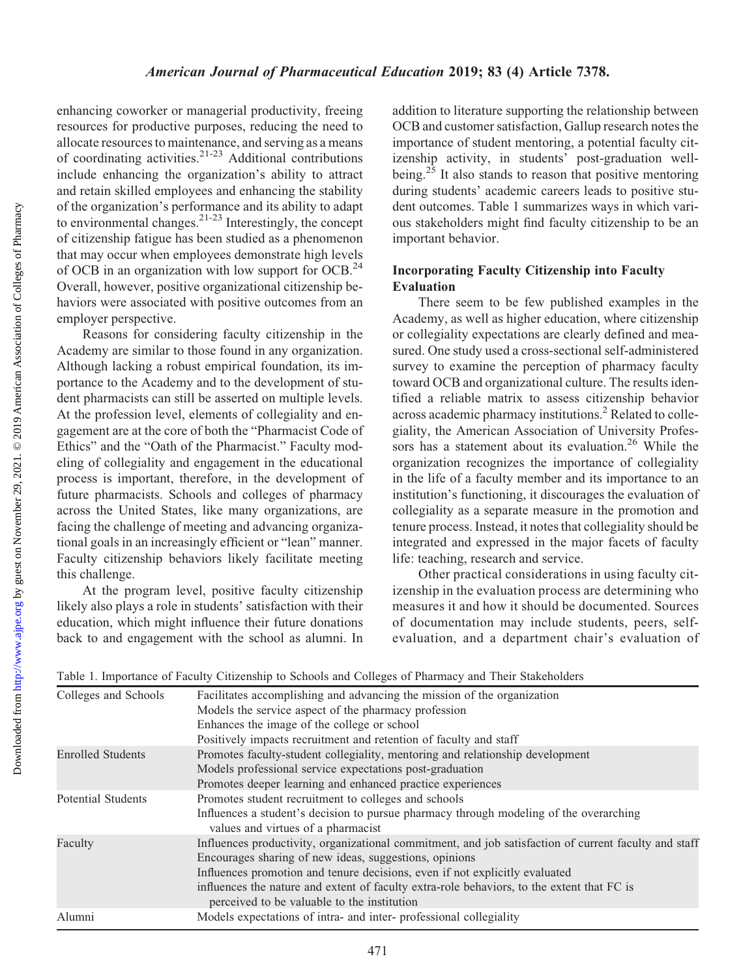Downloaded from

enhancing coworker or managerial productivity, freeing resources for productive purposes, reducing the need to allocate resources to maintenance, and serving as a means of coordinating activities.<sup>21-23</sup> Additional contributions include enhancing the organization's ability to attract and retain skilled employees and enhancing the stability of the organization's performance and its ability to adapt to environmental changes.<sup>21-23</sup> Interestingly, the concept of citizenship fatigue has been studied as a phenomenon that may occur when employees demonstrate high levels of OCB in an organization with low support for OCB.<sup>24</sup> Overall, however, positive organizational citizenship behaviors were associated with positive outcomes from an employer perspective.

Reasons for considering faculty citizenship in the Academy are similar to those found in any organization. Although lacking a robust empirical foundation, its importance to the Academy and to the development of student pharmacists can still be asserted on multiple levels. At the profession level, elements of collegiality and engagement are at the core of both the "Pharmacist Code of Ethics" and the "Oath of the Pharmacist." Faculty modeling of collegiality and engagement in the educational process is important, therefore, in the development of future pharmacists. Schools and colleges of pharmacy across the United States, like many organizations, are facing the challenge of meeting and advancing organizational goals in an increasingly efficient or "lean" manner. Faculty citizenship behaviors likely facilitate meeting this challenge.

At the program level, positive faculty citizenship likely also plays a role in students' satisfaction with their education, which might influence their future donations back to and engagement with the school as alumni. In addition to literature supporting the relationship between OCB and customer satisfaction, Gallup research notes the importance of student mentoring, a potential faculty citizenship activity, in students' post-graduation wellbeing.<sup>25</sup> It also stands to reason that positive mentoring during students' academic careers leads to positive student outcomes. Table 1 summarizes ways in which various stakeholders might find faculty citizenship to be an important behavior.

# Incorporating Faculty Citizenship into Faculty Evaluation

There seem to be few published examples in the Academy, as well as higher education, where citizenship or collegiality expectations are clearly defined and measured. One study used a cross-sectional self-administered survey to examine the perception of pharmacy faculty toward OCB and organizational culture. The results identified a reliable matrix to assess citizenship behavior across academic pharmacy institutions.<sup>2</sup> Related to collegiality, the American Association of University Professors has a statement about its evaluation.<sup>26</sup> While the organization recognizes the importance of collegiality in the life of a faculty member and its importance to an institution's functioning, it discourages the evaluation of collegiality as a separate measure in the promotion and tenure process. Instead, it notes that collegiality should be integrated and expressed in the major facets of faculty life: teaching, research and service.

Other practical considerations in using faculty citizenship in the evaluation process are determining who measures it and how it should be documented. Sources of documentation may include students, peers, selfevaluation, and a department chair's evaluation of

| Table 1. Importance of Faculty Citizenship to Schools and Colleges of Pharmacy and Their Stakeholders |  |  |  |
|-------------------------------------------------------------------------------------------------------|--|--|--|
|-------------------------------------------------------------------------------------------------------|--|--|--|

| Colleges and Schools      | Facilitates accomplishing and advancing the mission of the organization                                                                   |
|---------------------------|-------------------------------------------------------------------------------------------------------------------------------------------|
|                           | Models the service aspect of the pharmacy profession                                                                                      |
|                           | Enhances the image of the college or school                                                                                               |
|                           | Positively impacts recruitment and retention of faculty and staff                                                                         |
| <b>Enrolled Students</b>  | Promotes faculty-student collegiality, mentoring and relationship development                                                             |
|                           | Models professional service expectations post-graduation                                                                                  |
|                           | Promotes deeper learning and enhanced practice experiences                                                                                |
| <b>Potential Students</b> | Promotes student recruitment to colleges and schools                                                                                      |
|                           | Influences a student's decision to pursue pharmacy through modeling of the overarching<br>values and virtues of a pharmacist              |
| Faculty                   | Influences productivity, organizational commitment, and job satisfaction of current faculty and staff                                     |
|                           | Encourages sharing of new ideas, suggestions, opinions                                                                                    |
|                           | Influences promotion and tenure decisions, even if not explicitly evaluated                                                               |
|                           | influences the nature and extent of faculty extra-role behaviors, to the extent that FC is<br>perceived to be valuable to the institution |
| Alumni                    | Models expectations of intra- and inter-professional collegiality                                                                         |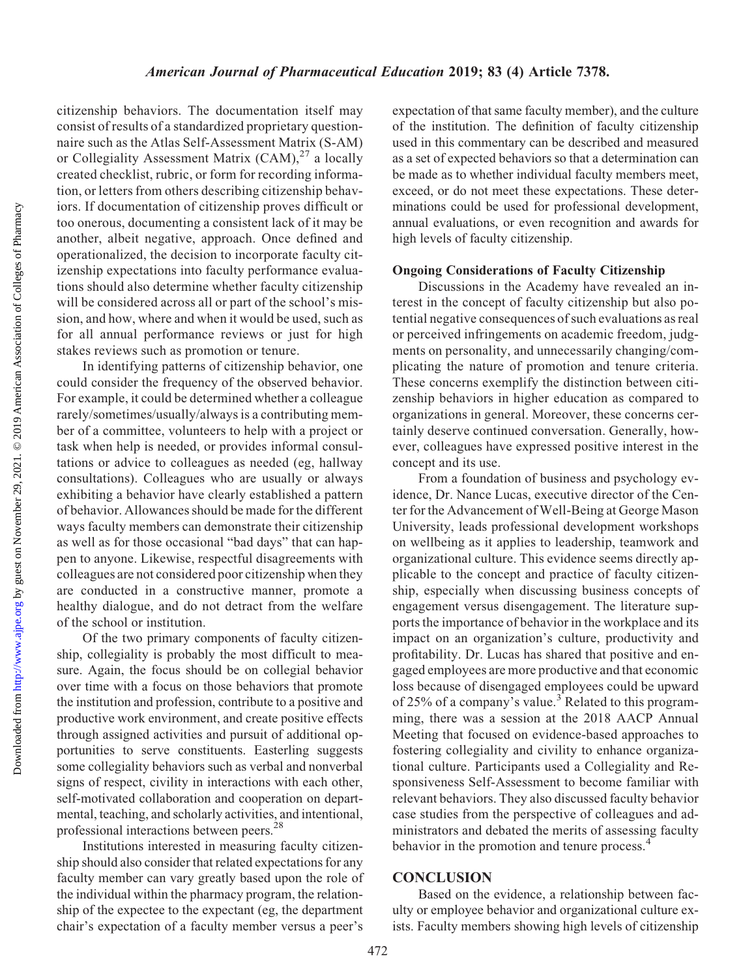Downloaded from

citizenship behaviors. The documentation itself may consist of results of a standardized proprietary questionnaire such as the Atlas Self-Assessment Matrix (S-AM) or Collegiality Assessment Matrix  $(CAM)^{27}$  a locally created checklist, rubric, or form for recording information, or letters from others describing citizenship behaviors. If documentation of citizenship proves difficult or too onerous, documenting a consistent lack of it may be another, albeit negative, approach. Once defined and operationalized, the decision to incorporate faculty citizenship expectations into faculty performance evaluations should also determine whether faculty citizenship will be considered across all or part of the school's mission, and how, where and when it would be used, such as for all annual performance reviews or just for high stakes reviews such as promotion or tenure.

In identifying patterns of citizenship behavior, one could consider the frequency of the observed behavior. For example, it could be determined whether a colleague rarely/sometimes/usually/always is a contributing member of a committee, volunteers to help with a project or task when help is needed, or provides informal consultations or advice to colleagues as needed (eg, hallway consultations). Colleagues who are usually or always exhibiting a behavior have clearly established a pattern of behavior. Allowances should be made for the different ways faculty members can demonstrate their citizenship as well as for those occasional "bad days" that can happen to anyone. Likewise, respectful disagreements with colleagues are not considered poor citizenship when they are conducted in a constructive manner, promote a healthy dialogue, and do not detract from the welfare of the school or institution.

Of the two primary components of faculty citizenship, collegiality is probably the most difficult to measure. Again, the focus should be on collegial behavior over time with a focus on those behaviors that promote the institution and profession, contribute to a positive and productive work environment, and create positive effects through assigned activities and pursuit of additional opportunities to serve constituents. Easterling suggests some collegiality behaviors such as verbal and nonverbal signs of respect, civility in interactions with each other, self-motivated collaboration and cooperation on departmental, teaching, and scholarly activities, and intentional, professional interactions between peers.28

Institutions interested in measuring faculty citizenship should also consider that related expectations for any faculty member can vary greatly based upon the role of the individual within the pharmacy program, the relationship of the expectee to the expectant (eg, the department chair's expectation of a faculty member versus a peer's expectation of that same faculty member), and the culture of the institution. The definition of faculty citizenship used in this commentary can be described and measured as a set of expected behaviors so that a determination can be made as to whether individual faculty members meet, exceed, or do not meet these expectations. These determinations could be used for professional development, annual evaluations, or even recognition and awards for high levels of faculty citizenship.

#### Ongoing Considerations of Faculty Citizenship

Discussions in the Academy have revealed an interest in the concept of faculty citizenship but also potential negative consequences of such evaluations as real or perceived infringements on academic freedom, judgments on personality, and unnecessarily changing/complicating the nature of promotion and tenure criteria. These concerns exemplify the distinction between citizenship behaviors in higher education as compared to organizations in general. Moreover, these concerns certainly deserve continued conversation. Generally, however, colleagues have expressed positive interest in the concept and its use.

From a foundation of business and psychology evidence, Dr. Nance Lucas, executive director of the Center for the Advancement of Well-Being at George Mason University, leads professional development workshops on wellbeing as it applies to leadership, teamwork and organizational culture. This evidence seems directly applicable to the concept and practice of faculty citizenship, especially when discussing business concepts of engagement versus disengagement. The literature supports the importance of behavior in the workplace and its impact on an organization's culture, productivity and profitability. Dr. Lucas has shared that positive and engaged employees are more productive and that economic loss because of disengaged employees could be upward of 25% of a company's value.<sup>3</sup> Related to this programming, there was a session at the 2018 AACP Annual Meeting that focused on evidence-based approaches to fostering collegiality and civility to enhance organizational culture. Participants used a Collegiality and Responsiveness Self-Assessment to become familiar with relevant behaviors. They also discussed faculty behavior case studies from the perspective of colleagues and administrators and debated the merits of assessing faculty behavior in the promotion and tenure process.<sup>4</sup>

## **CONCLUSION**

Based on the evidence, a relationship between faculty or employee behavior and organizational culture exists. Faculty members showing high levels of citizenship